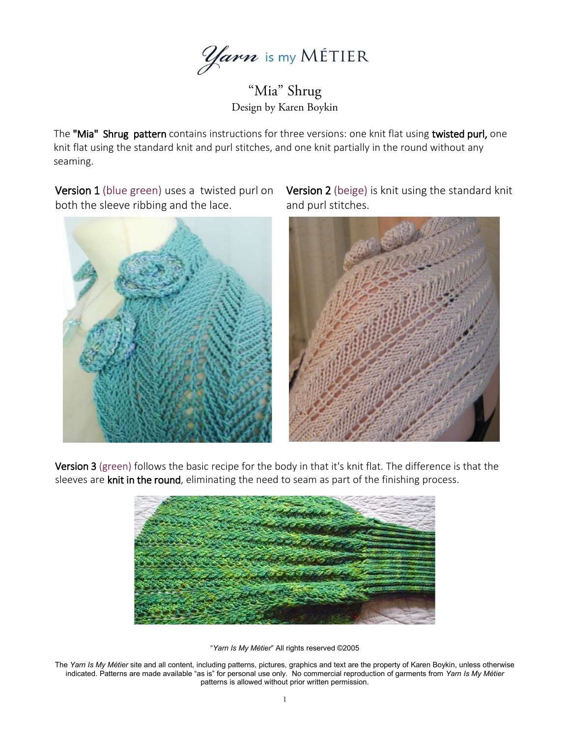*Yarn* is my MÉTIER

"Mia" Shrug Design by Karen Boykin

The "Mia" Shrug pattern contains instructions for three versions: one knit flat using twisted purl, one knit flat using the standard knit and purl stitches, and one knit partially in the round without any seaming.

Version 1 (blue green) uses a twisted purl on both the sleeve ribbing and the lace.



Version 2 (beige) is knit using the standard knit and purl stitches.



Version 3 (green) follows the basic recipe for the body in that it's knit flat. The difference is that the sleeves are knit in the round, eliminating the need to seam as part of the finishing process.



"*Yarn Is My Métier*" All rights reserved ©2005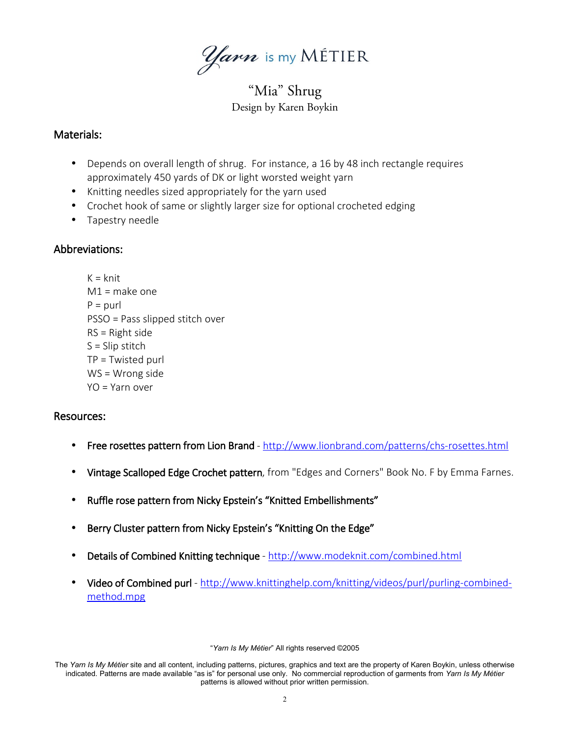*Yarn* is my MÉTIER

"Mia" Shrug Design by Karen Boykin

## Materials:

- Depends on overall length of shrug. For instance, a 16 by 48 inch rectangle requires approximately 450 yards of DK or light worsted weight yarn
- Knitting needles sized appropriately for the yarn used
- Crochet hook of same or slightly larger size for optional crocheted edging
- Tapestry needle

## Abbreviations:

 $K =$  knit  $M1$  = make one  $P =$  purl PSSO = Pass slipped stitch over RS = Right side  $S =$  Slip stitch TP = Twisted purl WS = Wrong side YO = Yarn over

#### Resources:

- Free rosettes pattern from Lion Brand -<http://www.lionbrand.com/patterns/chs-rosettes.html>
- Vintage Scalloped Edge Crochet pattern, from "Edges and Corners" Book No. F by Emma Farnes.
- Ruffle rose pattern from Nicky Epstein's "Knitted Embellishments"
- Berry Cluster pattern from Nicky Epstein's "Knitting On the Edge"
- Details of Combined Knitting technique -<http://www.modeknit.com/combined.html>
- Video of Combined purl - [http://www.knittinghelp.com/knitting/videos/purl/purling-combined](http://www.knittinghelp.com/knitting/videos/purl/purling-combined-method.mpg)[method.mpg](http://www.knittinghelp.com/knitting/videos/purl/purling-combined-method.mpg)

The *Yarn Is My Métier* site and all content, including patterns, pictures, graphics and text are the property of Karen Boykin, unless otherwise indicated. Patterns are made available "as is" for personal use only. No commercial reproduction of garments from *Yarn Is My Métier* patterns is allowed without prior written permission.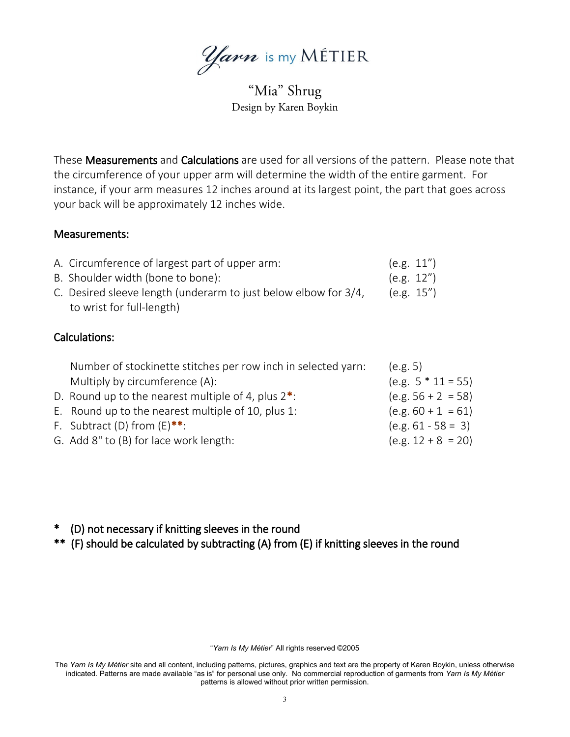*Yarn* is my MÉTIER

"Mia" Shrug Design by Karen Boykin

These Measurements and Calculations are used for all versions of the pattern. Please note that the circumference of your upper arm will determine the width of the entire garment. For instance, if your arm measures 12 inches around at its largest point, the part that goes across your back will be approximately 12 inches wide.

## Measurements:

|               | A. Circumference of largest part of upper arm:                                               | (e.g. $11'$ ) |               |  |
|---------------|----------------------------------------------------------------------------------------------|---------------|---------------|--|
|               | B. Shoulder width (bone to bone):                                                            |               | (e.g. $12"$ ) |  |
|               | C. Desired sleeve length (underarm to just below elbow for 3/4,<br>to wrist for full-length) |               | (e.g. 15")    |  |
|               |                                                                                              |               |               |  |
| Colculations: |                                                                                              |               |               |  |

## Calculations:

| Number of stockinette stitches per row inch in selected yarn: | (e.g. 5)             |
|---------------------------------------------------------------|----------------------|
| Multiply by circumference (A):                                | $(e.g. 5 * 11 = 55)$ |
| D. Round up to the nearest multiple of 4, plus $2^*$ :        | $(e.g. 56 + 2 = 58)$ |
| E. Round up to the nearest multiple of 10, plus 1:            | $(e.g. 60 + 1 = 61)$ |
| F. Subtract (D) from $(E)$ **:                                | $(e.g. 61 - 58 = 3)$ |
| G. Add 8" to (B) for lace work length:                        | $(e.g. 12 + 8 = 20)$ |

\* (D) not necessary if knitting sleeves in the round

\*\* (F) should be calculated by subtracting (A) from (E) if knitting sleeves in the round

"*Yarn Is My Métier*" All rights reserved ©2005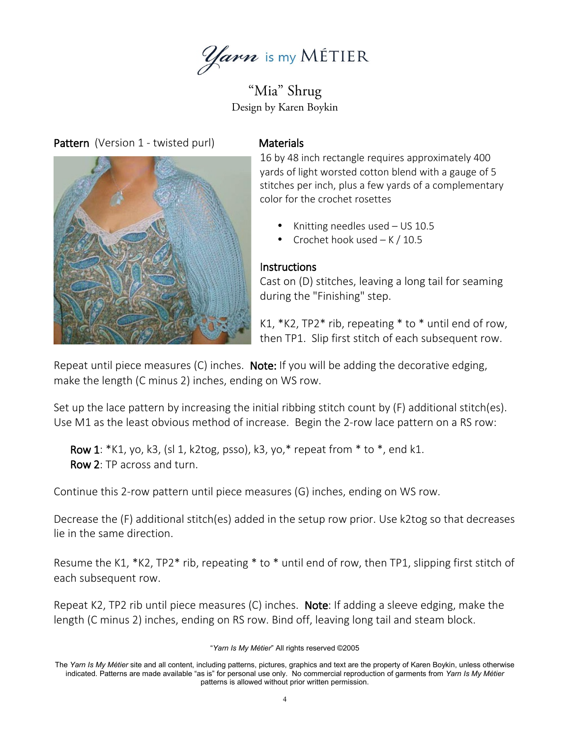*Yarn* is my MÉTIER

"Mia" Shrug Design by Karen Boykin

Pattern (Version 1 - twisted purl) Materials



16 by 48 inch rectangle requires approximately 400 yards of light worsted cotton blend with a gauge of 5 stitches per inch, plus a few yards of a complementary color for the crochet rosettes

- Knitting needles used US 10.5
- Crochet hook used  $-$  K / 10.5

# **Instructions**

Cast on (D) stitches, leaving a long tail for seaming during the "Finishing" step.

K1, \*K2, TP2\* rib, repeating \* to \* until end of row, then TP1. Slip first stitch of each subsequent row.

Repeat until piece measures  $(C)$  inches. Note: If you will be adding the decorative edging, make the length (C minus 2) inches, ending on WS row.

Set up the lace pattern by increasing the initial ribbing stitch count by (F) additional stitch(es). Use M1 as the least obvious method of increase. Begin the 2-row lace pattern on a RS row:

**Row 1**:  $*K1$ , yo, k3, (sl 1, k2tog, psso), k3, yo, $*$  repeat from  $*$  to  $*$ , end k1. Row 2: TP across and turn.

Continue this 2-row pattern until piece measures (G) inches, ending on WS row.

Decrease the (F) additional stitch(es) added in the setup row prior. Use k2tog so that decreases lie in the same direction.

Resume the K1, \*K2, TP2\* rib, repeating \* to \* until end of row, then TP1, slipping first stitch of each subsequent row.

Repeat K2, TP2 rib until piece measures (C) inches. Note: If adding a sleeve edging, make the length (C minus 2) inches, ending on RS row. Bind off, leaving long tail and steam block.

The *Yarn Is My Métier* site and all content, including patterns, pictures, graphics and text are the property of Karen Boykin, unless otherwise indicated. Patterns are made available "as is" for personal use only. No commercial reproduction of garments from *Yarn Is My Métier* patterns is allowed without prior written permission.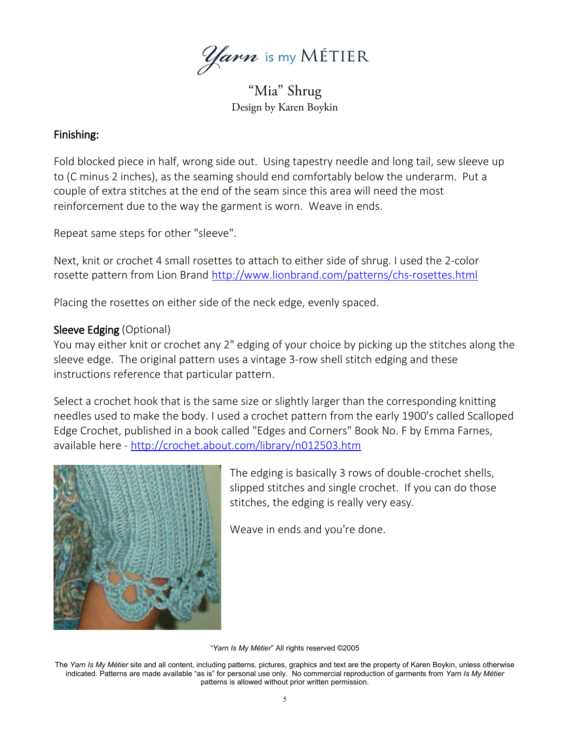*Yarn* is my MÉTIER

"Mia" Shrug Design by Karen Boykin

# Finishing:

Fold blocked piece in half, wrong side out. Using tapestry needle and long tail, sew sleeve up to (C minus 2 inches), as the seaming should end comfortably below the underarm. Put a couple of extra stitches at the end of the seam since this area will need the most reinforcement due to the way the garment is worn. Weave in ends.

Repeat same steps for other "sleeve".

Next, knit or crochet 4 small rosettes to attach to either side of shrug. I used the 2-color rosette pattern from Lion Brand<http://www.lionbrand.com/patterns/chs-rosettes.html>

Placing the rosettes on either side of the neck edge, evenly spaced.

# Sleeve Edging (Optional)

You may either knit or crochet any 2" edging of your choice by picking up the stitches along the sleeve edge. The original pattern uses a vintage 3-row shell stitch edging and these instructions reference that particular pattern.

Select a crochet hook that is the same size or slightly larger than the corresponding knitting needles used to make the body. I used a crochet pattern from the early 1900's called Scalloped Edge Crochet, published in a book called "Edges and Corners" Book No. F by Emma Farnes, available here -<http://crochet.about.com/library/n012503.htm>



The edging is basically 3 rows of double-crochet shells, slipped stitches and single crochet. If you can do those stitches, the edging is really very easy.

Weave in ends and you're done.

"*Yarn Is My Métier*" All rights reserved ©2005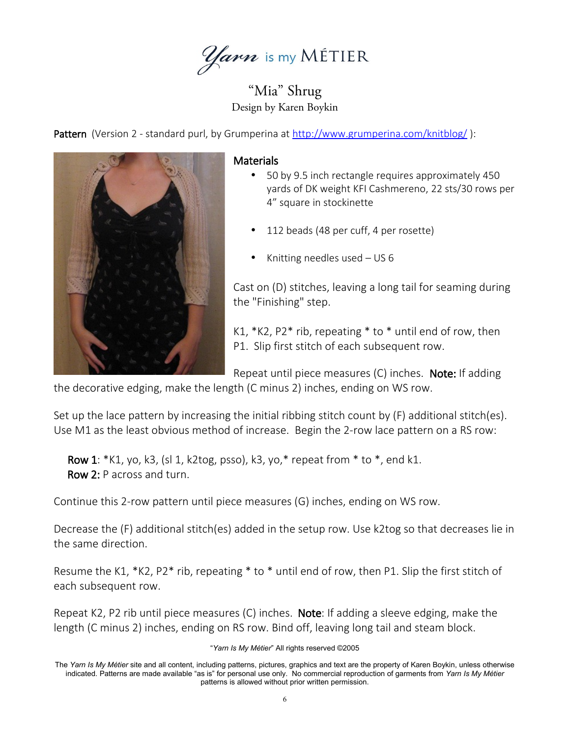*Yarn* is my MÉTIER

"Mia" Shrug Design by Karen Boykin

Pattern (Version 2 - standard purl, by Grumperina at http://www.grumperina.com/knitblog/):



### **Materials**

- 50 by 9.5 inch rectangle requires approximately 450 yards of DK weight KFI Cashmereno, 22 sts/30 rows per 4" square in stockinette
- 112 beads (48 per cuff, 4 per rosette)
- Knitting needles used US 6

Cast on (D) stitches, leaving a long tail for seaming during the "Finishing" step.

K1, \*K2, P2\* rib, repeating \* to \* until end of row, then P1. Slip first stitch of each subsequent row.

Repeat until piece measures  $(C)$  inches. Note: If adding

the decorative edging, make the length (C minus 2) inches, ending on WS row.

Set up the lace pattern by increasing the initial ribbing stitch count by (F) additional stitch(es). Use M1 as the least obvious method of increase. Begin the 2-row lace pattern on a RS row:

 Row 1: \*K1, yo, k3, (sl 1, k2tog, psso), k3, yo,\* repeat from \* to \*, end k1. Row 2: P across and turn.

Continue this 2-row pattern until piece measures (G) inches, ending on WS row.

Decrease the (F) additional stitch(es) added in the setup row. Use k2tog so that decreases lie in the same direction.

Resume the K1, \*K2, P2\* rib, repeating \* to \* until end of row, then P1. Slip the first stitch of each subsequent row.

Repeat K2, P2 rib until piece measures (C) inches. Note: If adding a sleeve edging, make the length (C minus 2) inches, ending on RS row. Bind off, leaving long tail and steam block.

The *Yarn Is My Métier* site and all content, including patterns, pictures, graphics and text are the property of Karen Boykin, unless otherwise indicated. Patterns are made available "as is" for personal use only. No commercial reproduction of garments from *Yarn Is My Métier* patterns is allowed without prior written permission.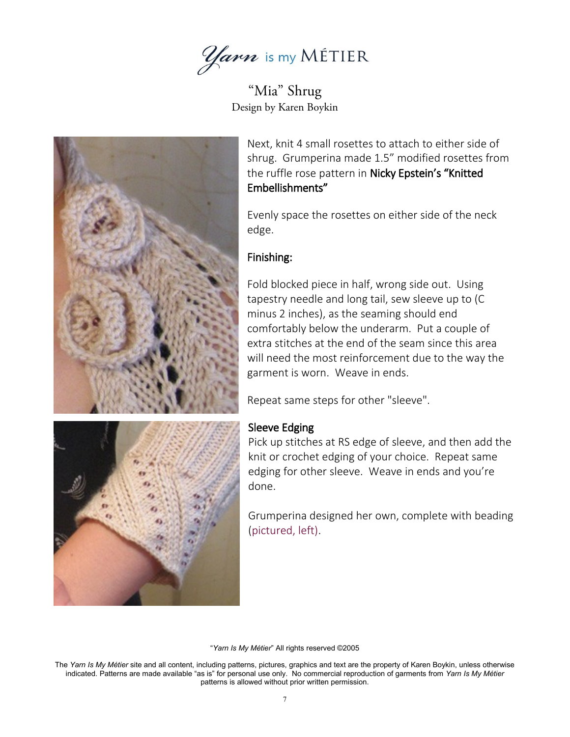*Yarn* is my MÉTIER

"Mia" Shrug Design by Karen Boykin



Next, knit 4 small rosettes to attach to either side of shrug. Grumperina made 1.5" modified rosettes from the ruffle rose pattern in Nicky Epstein's "Knitted Embellishments"

Evenly space the rosettes on either side of the neck edge.

# Finishing:

Fold blocked piece in half, wrong side out. Using tapestry needle and long tail, sew sleeve up to (C minus 2 inches), as the seaming should end comfortably below the underarm. Put a couple of extra stitches at the end of the seam since this area will need the most reinforcement due to the way the garment is worn. Weave in ends.



# Sleeve Edging

Pick up stitches at RS edge of sleeve, and then add the knit or crochet edging of your choice. Repeat same edging for other sleeve. Weave in ends and you're done.

Grumperina designed her own, complete with beading (pictured, left).

"*Yarn Is My Métier*" All rights reserved ©2005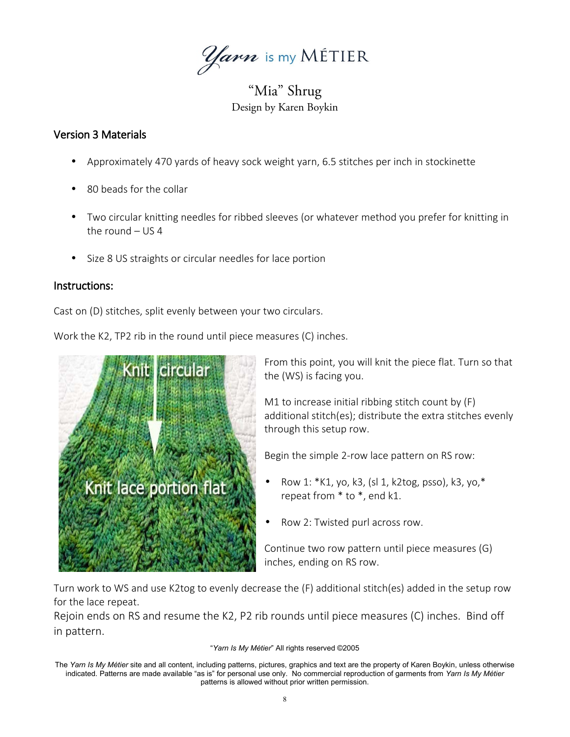*Yarn* is my MÉTIER

"Mia" Shrug Design by Karen Boykin

# Version 3 Materials

- Approximately 470 yards of heavy sock weight yarn, 6.5 stitches per inch in stockinette
- 80 beads for the collar
- Two circular knitting needles for ribbed sleeves (or whatever method you prefer for knitting in the round – US 4
- Size 8 US straights or circular needles for lace portion

## Instructions:

Cast on (D) stitches, split evenly between your two circulars.

Work the K2, TP2 rib in the round until piece measures (C) inches.



From this point, you will knit the piece flat. Turn so that the (WS) is facing you.

M1 to increase initial ribbing stitch count by (F) additional stitch(es); distribute the extra stitches evenly through this setup row.

Begin the simple 2-row lace pattern on RS row:

- Row 1: \*K1, yo, k3, (sl 1, k2tog, psso), k3, yo,\* repeat from \* to \*, end k1.
- Row 2: Twisted purl across row.

Continue two row pattern until piece measures (G) inches, ending on RS row.

Turn work to WS and use K2tog to evenly decrease the (F) additional stitch(es) added in the setup row for the lace repeat.

Rejoin ends on RS and resume the K2, P2 rib rounds until piece measures (C) inches. Bind off in pattern.

The *Yarn Is My Métier* site and all content, including patterns, pictures, graphics and text are the property of Karen Boykin, unless otherwise indicated. Patterns are made available "as is" for personal use only. No commercial reproduction of garments from *Yarn Is My Métier* patterns is allowed without prior written permission.